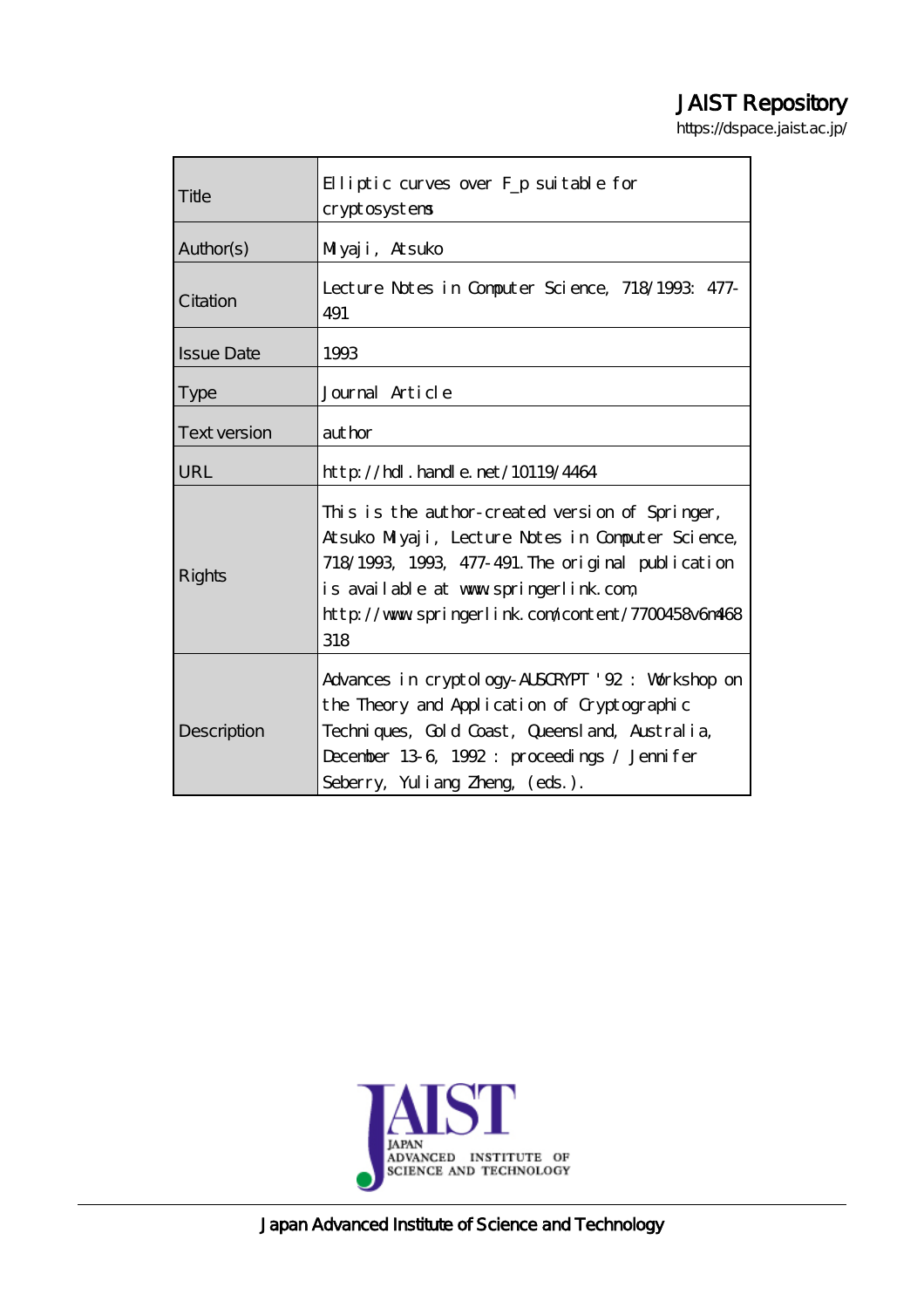# JAIST Repository

https://dspace.jaist.ac.jp/

| Title               | Elliptic curves over F <sub>p</sub> suitable for<br>cryptosystems                                                                                                                                                                                               |  |  |
|---------------------|-----------------------------------------------------------------------------------------------------------------------------------------------------------------------------------------------------------------------------------------------------------------|--|--|
| Author(s)           | Muyaji, Atsuko                                                                                                                                                                                                                                                  |  |  |
| Citation            | Lecture Notes in Computer Science, 718/1993: 477-<br>491                                                                                                                                                                                                        |  |  |
| <b>Issue Date</b>   | 1993                                                                                                                                                                                                                                                            |  |  |
| <b>Type</b>         | Journal Article                                                                                                                                                                                                                                                 |  |  |
| <b>Text version</b> | author                                                                                                                                                                                                                                                          |  |  |
| URL                 | $http$ // $hdl$ . handle. net/10119/4464                                                                                                                                                                                                                        |  |  |
| Rights              | This is the author-created version of Springer,<br>Atsuko Milyaji, Lecture Notes in Computer Science,<br>718/1993, 1993, 477-491. The original publication<br>is available at www.springerlink.com,<br>http://www.springerlink.com/content/7700458v6m468<br>318 |  |  |
| Description         | Advances in cryptology-ALSCRYPT '92: Workshop on<br>the Theory and Application of Cryptographic<br>Techniques, Gold Coast, Queensland, Australia,<br>December 13-6, 1992: proceedings / Jennifer<br>Seberry, Yuliang Zheng (eds.).                              |  |  |



Japan Advanced Institute of Science and Technology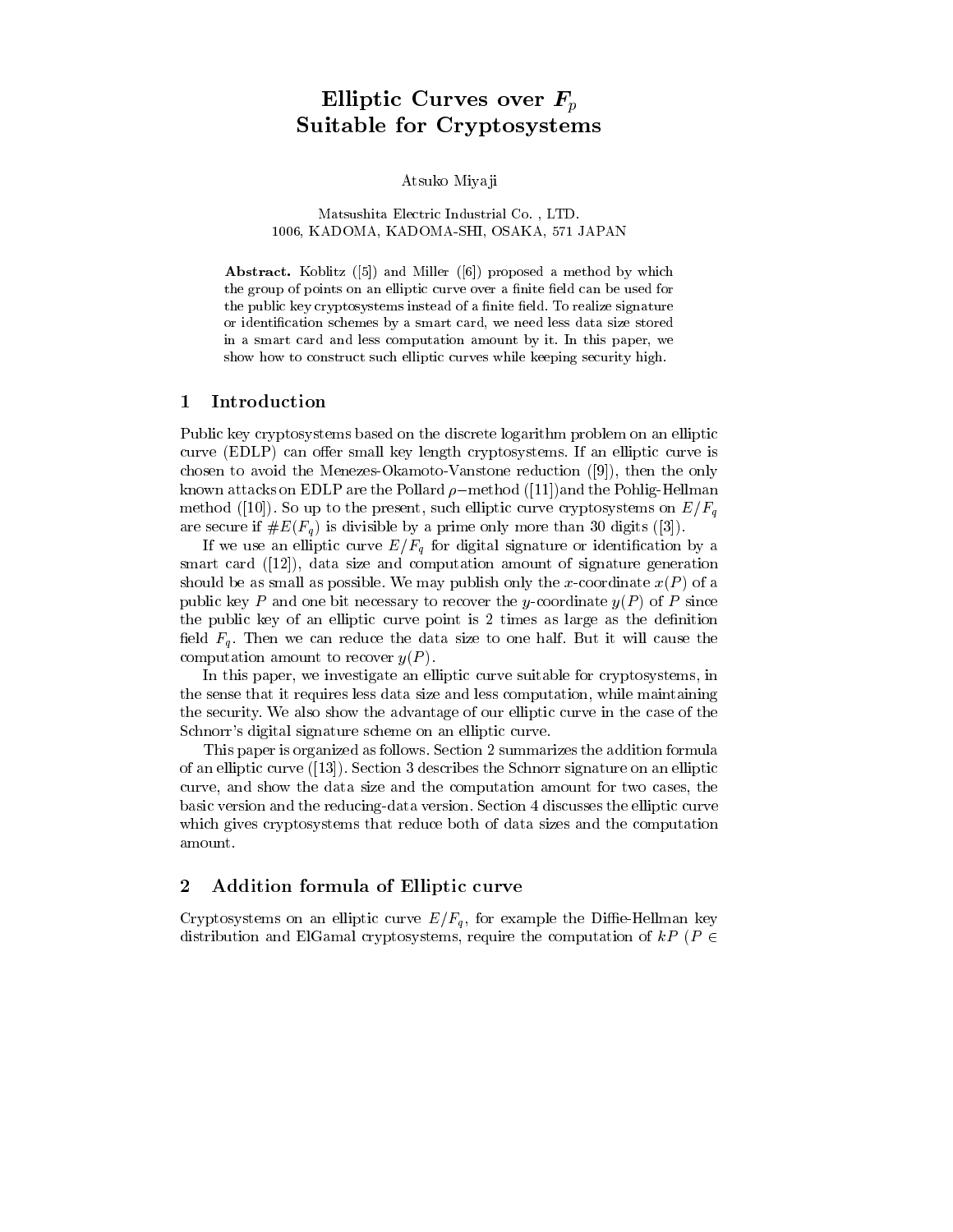## Elliptic Curves over  $F_p$ Suitable for Cryptosystems

Atsuko Miyaji

Matsushita Electric Industrial Co., LTD. 1006, KADOMA, KADOMA-SHI, OSAKA, 571 JAPAN

Abstract. Koblitz ([5]) and Miller ([6]) proposed a method by which the group of points on an elliptic curve over a finite field can be used for the public key cryptosystems instead of a finite field. To realize signature or identification schemes by a smart card, we need less data size stored in a smart card and less computation amount by it. In this paper, we show how to construct such elliptic curves while keeping security high.

#### $\mathbf 1$ Introduction

Public key cryptosystems based on the discrete logarithm problem on an elliptic curve (EDLP) can offer small key length cryptosystems. If an elliptic curve is chosen to avoid the Menezes-Okamoto-Vanstone reduction  $(9)$ , then the only known attacks on EDLP are the Pollard  $\rho$ -method ([11]) and the Pohlig-Hellman method ([10]). So up to the present, such elliptic curve cryptosystems on  $E/F_a$ are secure if  $\#E(F_q)$  is divisible by a prime only more than 30 digits ([3]).

If we use an elliptic curve  $E/F_q$  for digital signature or identification by a smart card  $([12])$ , data size and computation amount of signature generation should be as small as possible. We may publish only the x-coordinate  $x(P)$  of a public key P and one bit necessary to recover the y-coordinate  $y(P)$  of P since the public key of an elliptic curve point is 2 times as large as the definition field  $F_q$ . Then we can reduce the data size to one half. But it will cause the computation amount to recover  $y(P)$ .

In this paper, we investigate an elliptic curve suitable for cryptosystems, in the sense that it requires less data size and less computation, while maintaining the security. We also show the advantage of our elliptic curve in the case of the Schnorr's digital signature scheme on an elliptic curve.

This paper is organized as follows. Section 2 summarizes the addition formula of an elliptic curve  $(13)$ . Section 3 describes the Schnorr signature on an elliptic curve, and show the data size and the computation amount for two cases, the basic version and the reducing-data version. Section 4 discusses the elliptic curve which gives cryptosystems that reduce both of data sizes and the computation amount.

#### Addition formula of Elliptic curve  $\bf{2}$

Cryptosystems on an elliptic curve  $E/F_q$ , for example the Diffie-Hellman key distribution and ElGamal cryptosystems, require the computation of kP ( $P \in$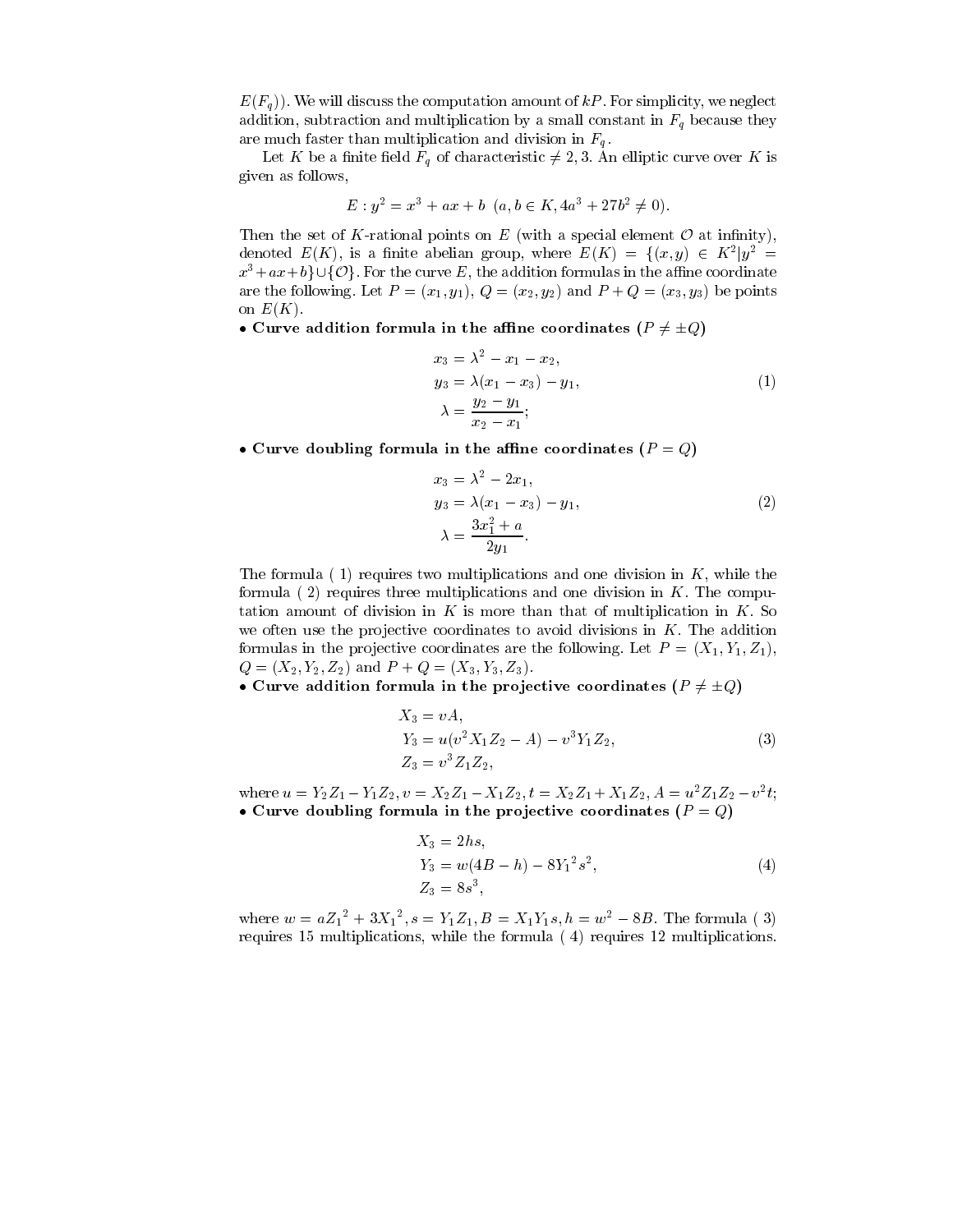$E(F_a)$ ). We will discuss the computation amount of kP. For simplicity, we neglect addition, subtraction and multiplication by a small constant in  $F_q$  because they are much faster than multiplication and division in  $F_q$ .

Let K be a finite field  $F_q$  of characteristic  $\neq 2,3$ . An elliptic curve over K is given as follows.

$$
E: y^2 = x^3 + ax + b \ (a, b \in K, 4a^3 + 27b^2 \neq 0).
$$

Then the set of K-rational points on E (with a special element  $\mathcal O$  at infinity), denoted  $E(K)$ , is a finite abelian group, where  $E(K) = \{(x, y) \in K^2 | y^2 =$  $x^3+ax+b$   $\cup$  {O}. For the curve E, the addition formulas in the affine coordinate are the following. Let  $P=(x_1,y_1), Q=(x_2,y_2)$  and  $P+Q=(x_3,y_3)$  be points on  $E(K)$ .

• Curve addition formula in the affine coordinates ( $P \neq \pm Q$ )

$$
x_3 = \lambda^2 - x_1 - x_2,
$$
  
\n
$$
y_3 = \lambda (x_1 - x_3) - y_1,
$$
  
\n
$$
\lambda = \frac{y_2 - y_1}{x_2 - x_1};
$$
\n(1)

• Curve doubling formula in the affine coordinates  $(P = Q)$ 

$$
x_3 = \lambda^2 - 2x_1,
$$
  
\n
$$
y_3 = \lambda (x_1 - x_3) - y_1,
$$
  
\n
$$
\lambda = \frac{3x_1^2 + a}{2y_1}.
$$
\n(2)

The formula  $(1)$  requires two multiplications and one division in K, while the formula  $(2)$  requires three multiplications and one division in K. The computation amount of division in K is more than that of multiplication in K. So we often use the projective coordinates to avoid divisions in  $K$ . The addition formulas in the projective coordinates are the following. Let  $P = (X_1, Y_1, Z_1)$ ,  $Q = (X_2, Y_2, Z_2)$  and  $P + Q = (X_3, Y_3, Z_3)$ .

• Curve addition formula in the projective coordinates ( $P \neq \pm Q$ )

$$
X_3 = vA,
$$
  
\n
$$
Y_3 = u(v^2 X_1 Z_2 - A) - v^3 Y_1 Z_2,
$$
  
\n
$$
Z_3 = v^3 Z_1 Z_2,
$$
\n(3)

where  $u = Y_2 Z_1 - Y_1 Z_2$ ,  $v = X_2 Z_1 - X_1 Z_2$ ,  $t = X_2 Z_1 + X_1 Z_2$ ,  $A = u^2 Z_1 Z_2 - v^2 t$ ; • Curve doubling formula in the projective coordinates  $(P = Q)$ 

$$
X_3 = 2hs,Y_3 = w(4B - h) - 8Y_1^2s^2,Z_3 = 8s^3,
$$
 (4)

where  $w = a{Z_1}^2 + 3{X_1}^2, s = Y_1Z_1, B = X_1Y_1s, h = w^2 - 8B$ . The formula (3) requires 15 multiplications, while the formula (4) requires 12 multiplications.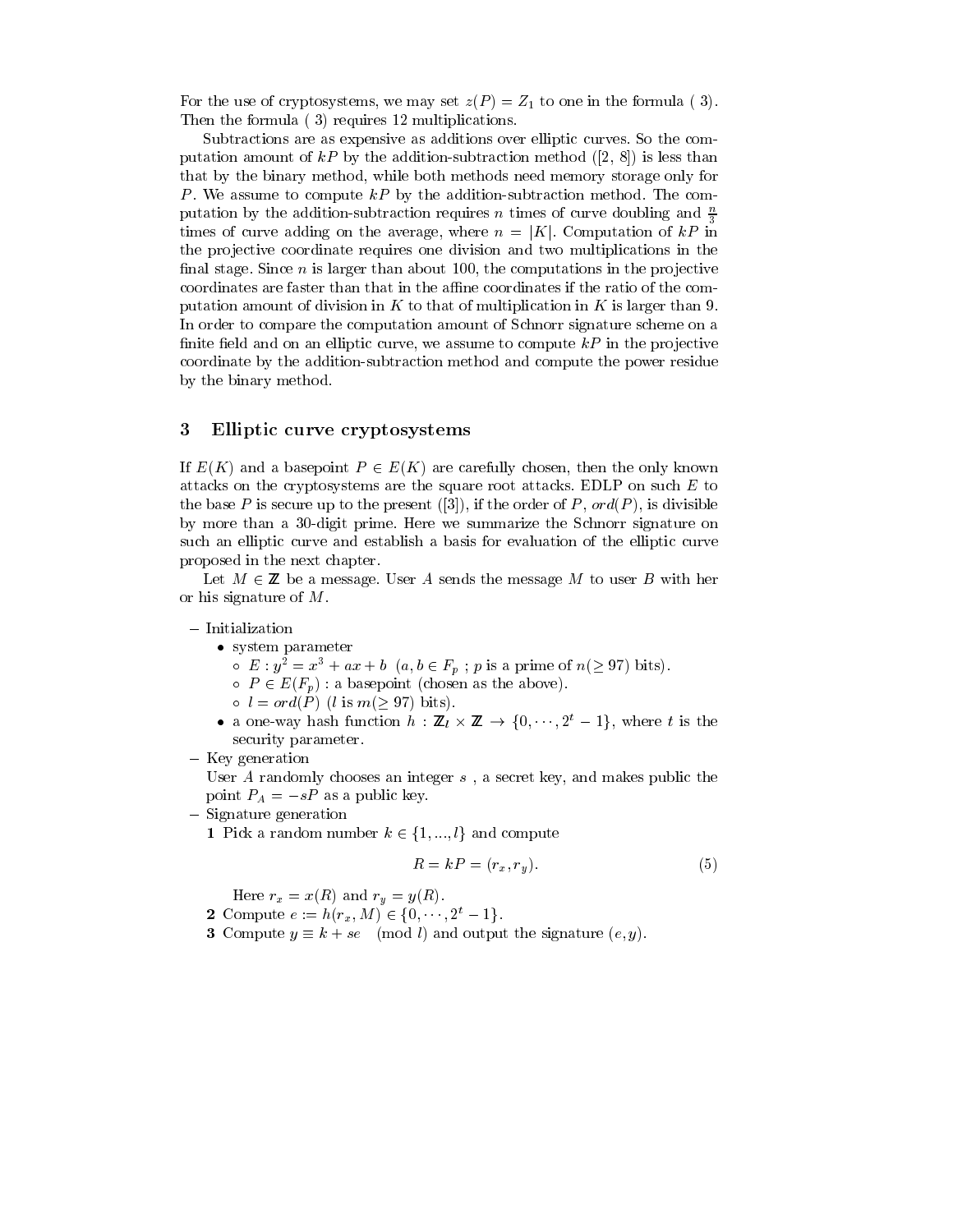For the use of cryptosystems, we may set  $z(P) = Z_1$  to one in the formula (3). Then the formula (3) requires 12 multiplications.

Subtractions are as expensive as additions over elliptic curves. So the computation amount of kP by the addition-subtraction method ([2, 8]) is less than that by the binary method, while both methods need memory storage only for P. We assume to compute  $kP$  by the addition-subtraction method. The computation by the addition-subtraction requires n times of curve doubling and  $\frac{n}{2}$ times of curve adding on the average, where  $n = |K|$ . Computation of kP in the projective coordinate requires one division and two multiplications in the final stage. Since  $n$  is larger than about 100, the computations in the projective coordinates are faster than that in the affine coordinates if the ratio of the computation amount of division in  $K$  to that of multiplication in  $K$  is larger than 9. In order to compare the computation amount of Schnorr signature scheme on a finite field and on an elliptic curve, we assume to compute  $kP$  in the projective coordinate by the addition-subtraction method and compute the power residue by the binary method.

#### 3 Elliptic curve cryptosystems

If  $E(K)$  and a basepoint  $P \in E(K)$  are carefully chosen, then the only known attacks on the cryptosystems are the square root attacks. EDLP on such  $E$  to the base P is secure up to the present ([3]), if the order of P,  $ord(P)$ , is divisible by more than a 30-digit prime. Here we summarize the Schnorr signature on such an elliptic curve and establish a basis for evaluation of the elliptic curve proposed in the next chapter.

Let  $M \in \mathbb{Z}$  be a message. User A sends the message M to user B with her or his signature of  $M$ .

- $-$  Initialization
	- $\bullet$  system parameter
		- $E: y^2 = x^3 + ax + b$   $(a, b \in F_p; p \text{ is a prime of } n \geq 97)$  bits).
		- $\circ$   $P \in E(F_p)$ : a basepoint (chosen as the above).
		- $\circ$   $l = ord(P)$  (*l* is  $m(\geq 97)$  bits).
	- a one-way hash function  $h : \mathbb{Z}_l \times \mathbb{Z} \to \{0, \dots, 2^t 1\}$ , where t is the security parameter.
- Key generation

User  $A$  randomly chooses an integer  $s$ , a secret key, and makes public the point  $P_A = -sP$  as a public key.

- $-$  Signature generation
	- 1 Pick a random number  $k \in \{1, ..., l\}$  and compute

$$
R = kP = (r_x, r_y). \tag{5}
$$

Here  $r_x = x(R)$  and  $r_y = y(R)$ .

2 Compute  $e := h(r_x, M) \in \{0, \dots, 2^t - 1\}.$ 

**3** Compute  $y \equiv k + se \pmod{l}$  and output the signature  $(e, y)$ .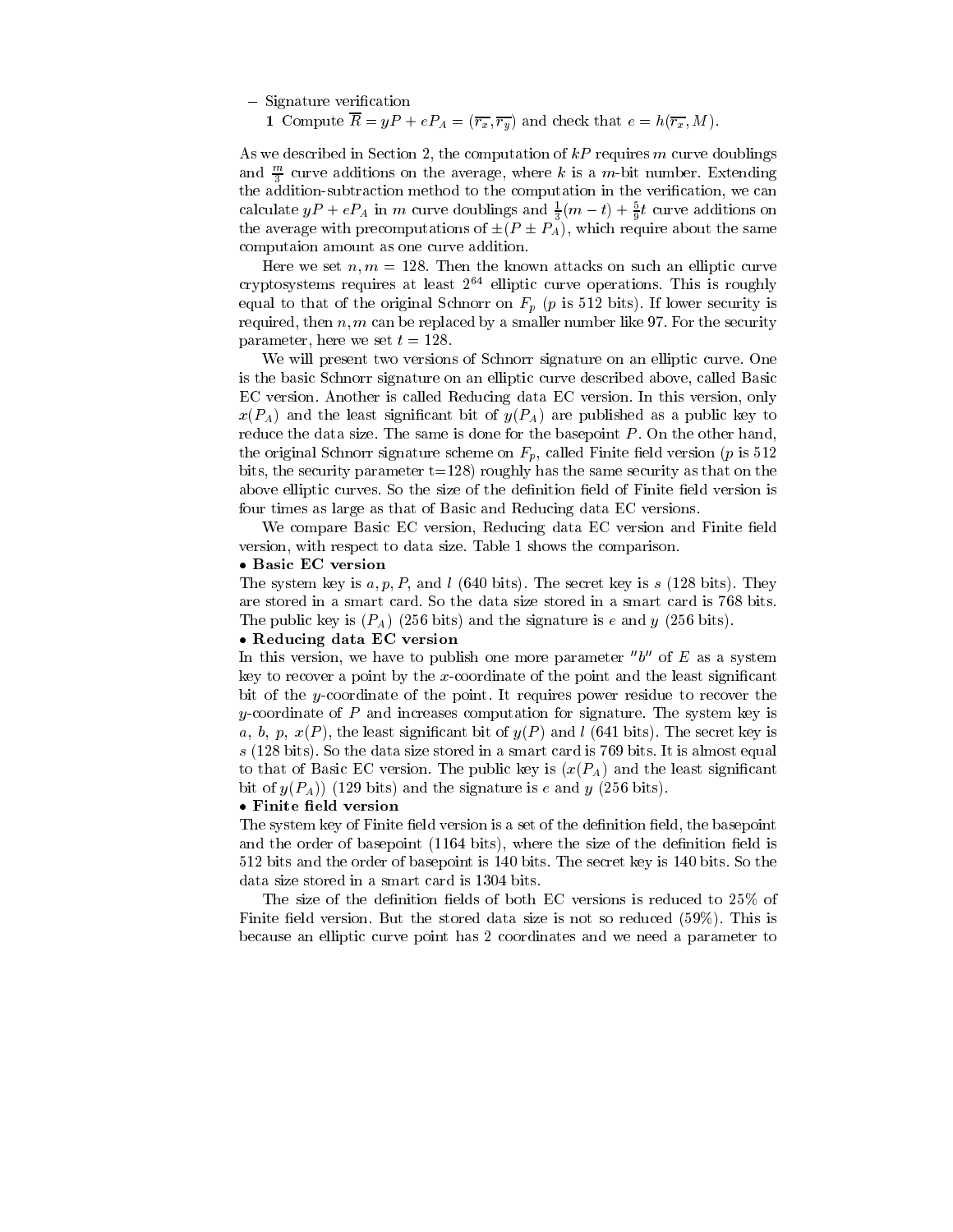$-$  Signature verification

1 Compute  $\overline{R} = yP + eP_A = (\overline{r_x}, \overline{r_y})$  and check that  $e = h(\overline{r_x}, M)$ .

As we described in Section 2, the computation of  $kP$  requires m curve doublings and  $\frac{m}{2}$  curve additions on the average, where k is a m-bit number. Extending the addition-subtraction method to the computation in the verification, we can calculate  $yP + eP_A$  in m curve doublings and  $\frac{1}{3}(m-t) + \frac{5}{9}t$  curve additions on the average with precomputations of  $\pm (P \pm P_A)$ , which require about the same computaion amount as one curve addition.

Here we set  $n, m = 128$ . Then the known attacks on such an elliptic curve cryptosystems requires at least  $2^{64}$  elliptic curve operations. This is roughly equal to that of the original Schnorr on  $F_p$  (p is 512 bits). If lower security is required, then  $n, m$  can be replaced by a smaller number like 97. For the security parameter, here we set  $t = 128$ 

We will present two versions of Schnorr signature on an elliptic curve. One is the basic Schnorr signature on an elliptic curve described above, called Basic EC version. Another is called Reducing data EC version. In this version, only  $x(P_A)$  and the least significant bit of  $y(P_A)$  are published as a public key to reduce the data size. The same is done for the basepoint  $P$ . On the other hand, the original Schnorr signature scheme on  $F_p$ , called Finite field version (p is 512) bits, the security parameter  $t=128$ ) roughly has the same security as that on the above elliptic curves. So the size of the definition field of Finite field version is four times as large as that of Basic and Reducing data EC versions.

We compare Basic EC version, Reducing data EC version and Finite field version, with respect to data size. Table 1 shows the comparison.

### · Basic EC version

The system key is  $a, p, P$ , and *l* (640 bits). The secret key is s (128 bits). They are stored in a smart card. So the data size stored in a smart card is 768 bits. The public key is  $(P_A)$  (256 bits) and the signature is e and y (256 bits).

### • Reducing data EC version

In this version, we have to publish one more parameter " $b$ " of E as a system key to recover a point by the  $x$ -coordinate of the point and the least significant bit of the y-coordinate of the point. It requires power residue to recover the y-coordinate of P and increases computation for signature. The system key is a, b, p,  $x(P)$ , the least significant bit of  $y(P)$  and l (641 bits). The secret key is  $s$  (128 bits). So the data size stored in a smart card is 769 bits. It is almost equal to that of Basic EC version. The public key is  $(x(P_A))$  and the least significant bit of  $y(P_A)$  (129 bits) and the signature is e and y (256 bits).

### · Finite field version

The system key of Finite field version is a set of the definition field, the basepoint and the order of basepoint (1164 bits), where the size of the definition field is 512 bits and the order of basepoint is 140 bits. The secret key is 140 bits. So the data size stored in a smart card is 1304 bits.

The size of the definition fields of both EC versions is reduced to 25% of Finite field version. But the stored data size is not so reduced (59%). This is because an elliptic curve point has 2 coordinates and we need a parameter to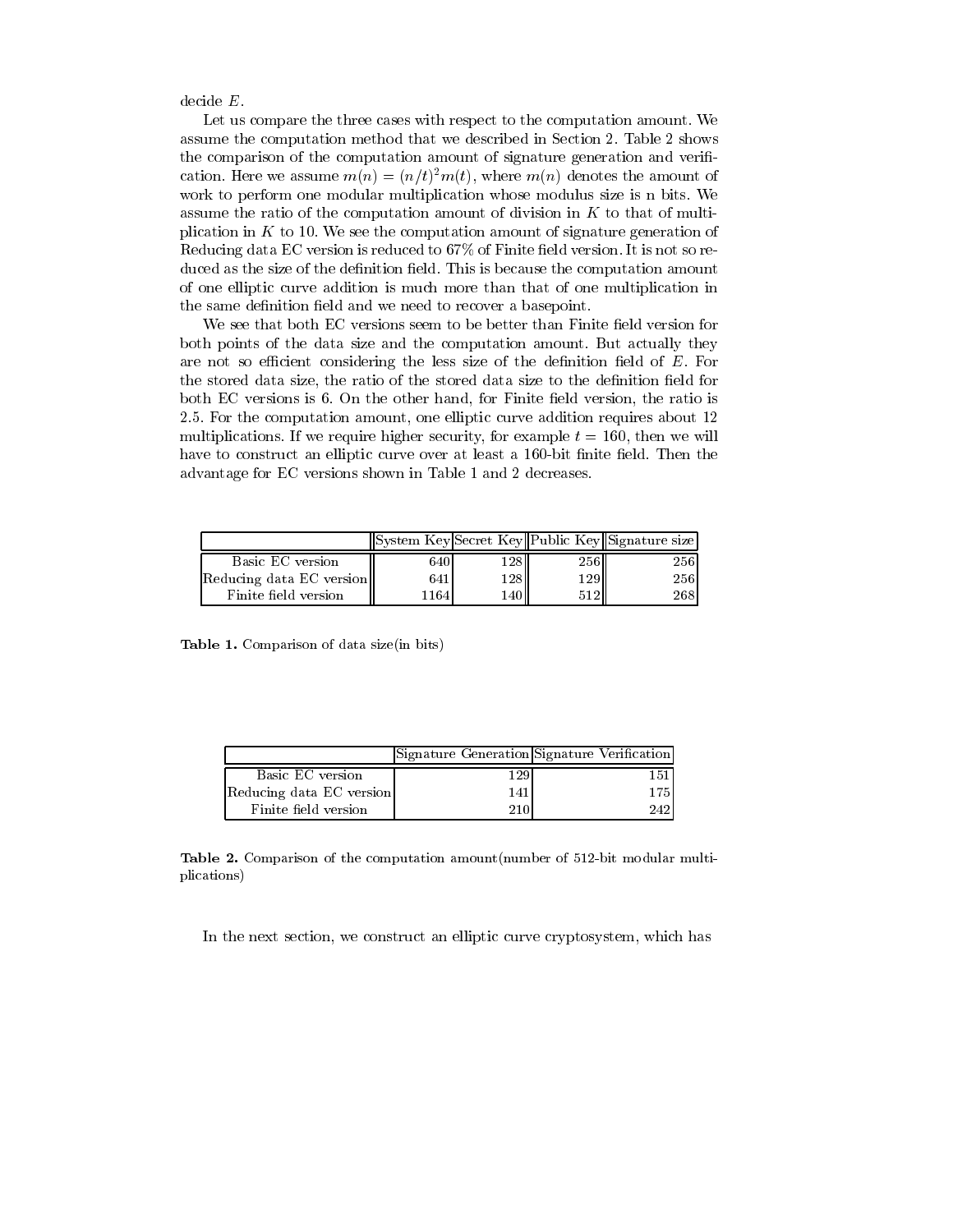$decide E.$ 

Let us compare the three cases with respect to the computation amount. We assume the computation method that we described in Section 2. Table 2 shows the comparison of the computation amount of signature generation and verification. Here we assume  $m(n) = (n/t)^2 m(t)$ , where  $m(n)$  denotes the amount of work to perform one modular multiplication whose modulus size is n bits. We assume the ratio of the computation amount of division in  $K$  to that of multiplication in  $K$  to 10. We see the computation amount of signature generation of Reducing data EC version is reduced to 67% of Finite field version. It is not so reduced as the size of the definition field. This is because the computation amount of one elliptic curve addition is much more than that of one multiplication in the same definition field and we need to recover a basepoint.

We see that both EC versions seem to be better than Finite field version for both points of the data size and the computation amount. But actually they are not so efficient considering the less size of the definition field of  $E$ . For the stored data size, the ratio of the stored data size to the definition field for both EC versions is 6. On the other hand, for Finite field version, the ratio is 2.5. For the computation amount, one elliptic curve addition requires about 12 multiplications. If we require higher security, for example  $t = 160$ , then we will have to construct an elliptic curve over at least a 160-bit finite field. Then the advantage for EC versions shown in Table 1 and 2 decreases.

|                          |       |        |       | System Key Secret Key Public Key Signature size |
|--------------------------|-------|--------|-------|-------------------------------------------------|
| Basic EC version         | 6401  | 128 II | 256H  | 2561                                            |
| Reducing data EC version | 641   | 128 II | 129II | 256                                             |
| Finite field version     | 11641 | 140V   |       | 2681                                            |

Table 1. Comparison of data size(in bits)

|                          |     | Signature Generation Signature Verification |
|--------------------------|-----|---------------------------------------------|
| Basic EC version         | 129 | 151                                         |
| Reducing data EC version | 141 | 175                                         |
| Finite field version     | 210 | 242                                         |

**Table 2.** Comparison of the computation amount (number of 512-bit modular multiplications)

In the next section, we construct an elliptic curve cryptosystem, which has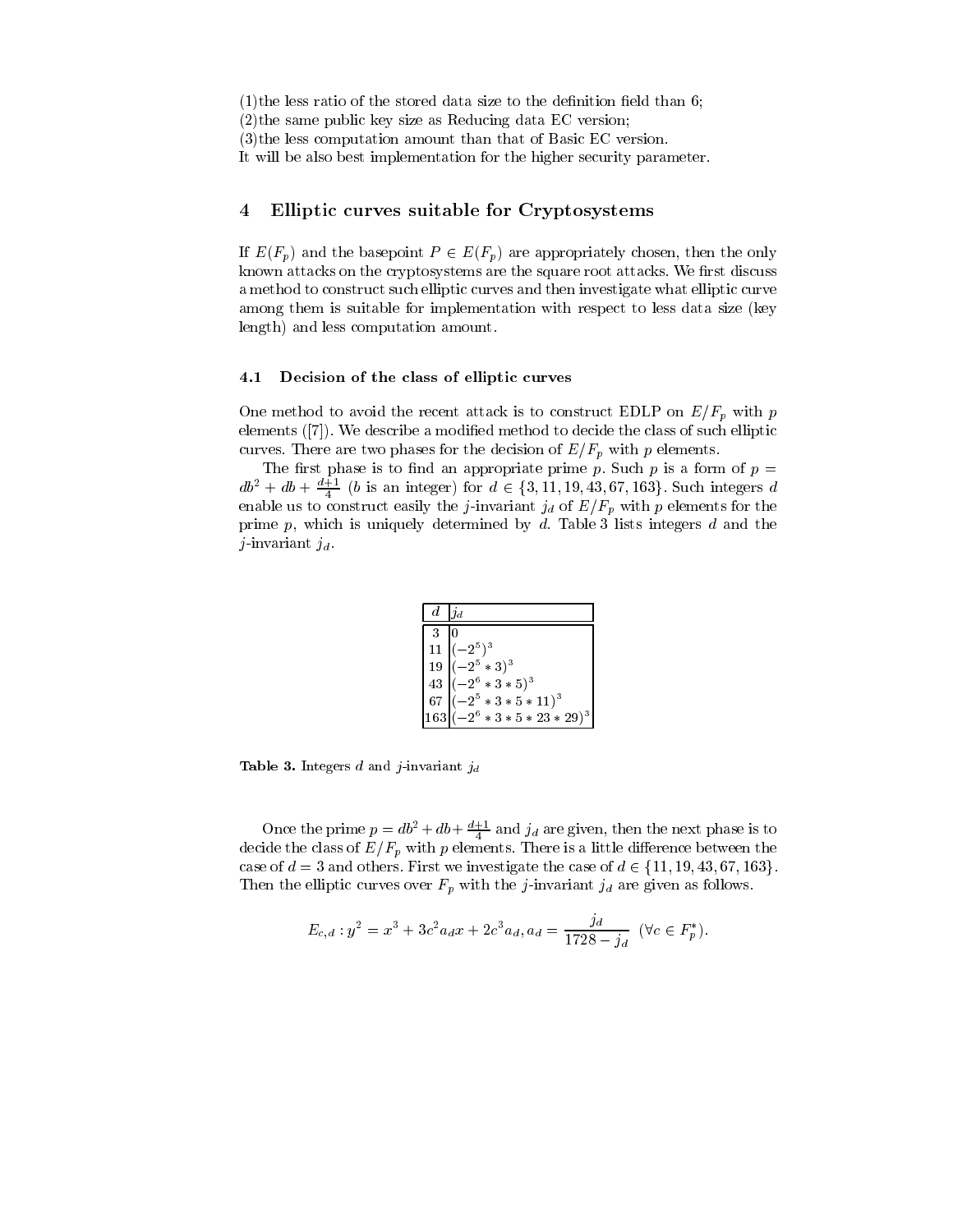- $(1)$ the less ratio of the stored data size to the definition field than 6;
- $(2)$ the same public key size as Reducing data EC version;
- $(3)$ the less computation amount than that of Basic EC version.
- It will be also best implementation for the higher security parameter.

#### Elliptic curves suitable for Cryptosystems  $\overline{4}$

If  $E(F_p)$  and the basepoint  $P \in E(F_p)$  are appropriately chosen, then the only known attacks on the cryptosystems are the square root attacks. We first discuss a method to construct such elliptic curves and then investigate what elliptic curve among them is suitable for implementation with respect to less data size (key length) and less computation amount.

#### 4.1 Decision of the class of elliptic curves

One method to avoid the recent attack is to construct EDLP on  $E/F_p$  with p elements ([7]). We describe a modified method to decide the class of such elliptic curves. There are two phases for the decision of  $E/F_p$  with p elements.

The first phase is to find an appropriate prime p. Such p is a form of  $p =$  $db^2 + db + \frac{d+1}{4}$  (*b* is an integer) for  $d \in \{3, 11, 19, 43, 67, 163\}$ . Such integers *d* enable us to construct easily the *j*-invariant  $j_d$  of  $E/F_p$  with p elements for the prime  $p$ , which is uniquely determined by  $d$ . Table 3 lists integers  $d$  and the j-invariant  $j_d$ .

| d  | $\Box a$                   |
|----|----------------------------|
| 3  |                            |
| 11 | $-2^5$ <sup>3</sup>        |
| 19 | $(-2^5 * 3)^3$             |
| 43 | $ (-2^6 * 3 * 5)^3$        |
| 67 | $-2^5 * 3 * 5 * 11)^3$     |
|    | $2^6 * 3 * 5 * 23 * 29)^3$ |

**Table 3.** Integers  $d$  and  $j$ -invariant  $j_d$ 

Once the prime  $p = db^2 + db + \frac{d+1}{4}$  and  $j_d$  are given, then the next phase is to decide the class of  $E/F_p$  with p elements. There is a little difference between the case of  $d = 3$  and others. First we investigate the case of  $d \in \{11, 19, 43, 67, 163\}.$ Then the elliptic curves over  $F_p$  with the *j*-invariant  $j_d$  are given as follows.

$$
E_{c,d}: y^2 = x^3 + 3c^2 a_d x + 2c^3 a_d, a_d = \frac{j_d}{1728 - j_d} \quad (\forall c \in F_p^*).
$$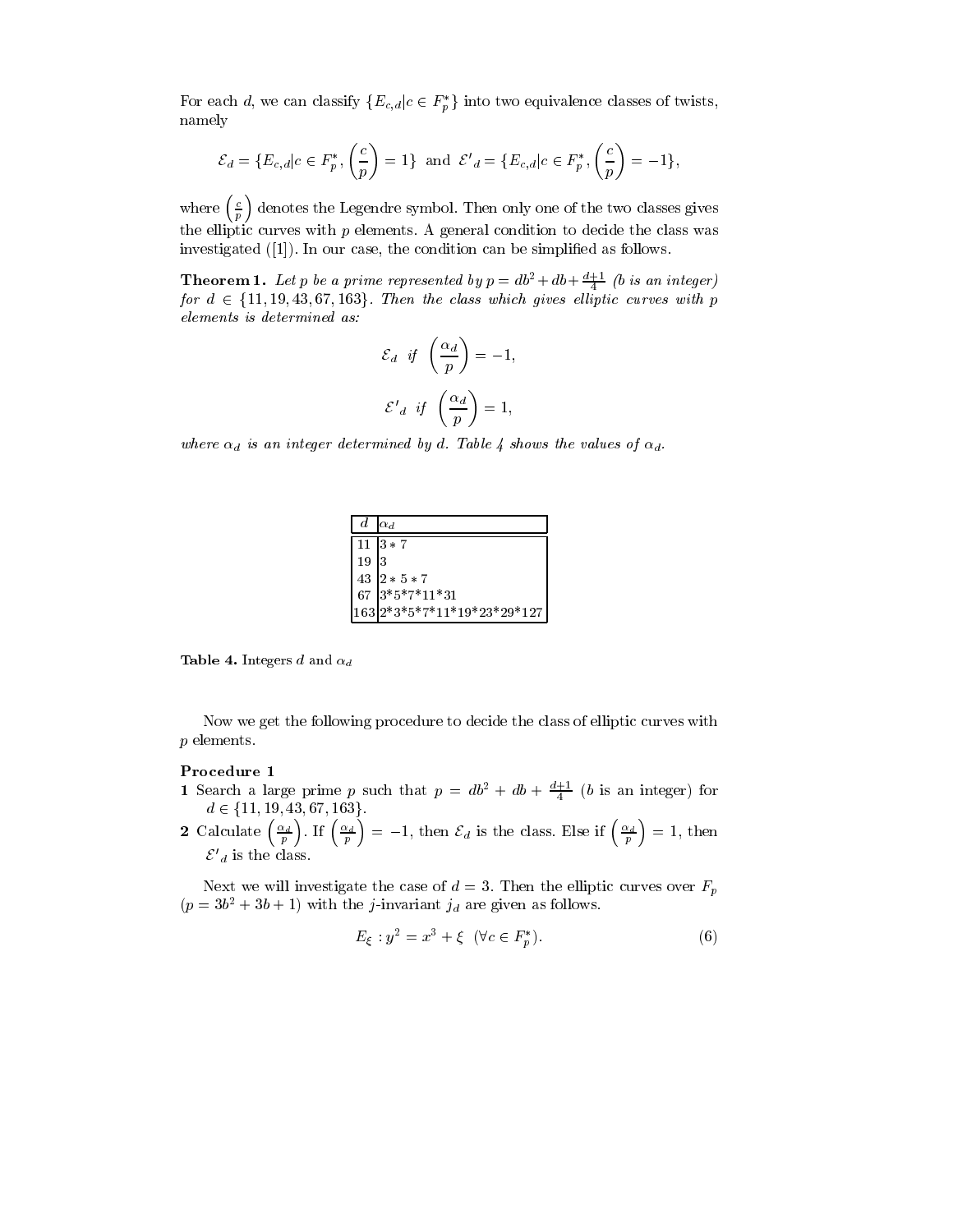For each d, we can classify  $\{E_{c,d}|c \in F_p^*\}\$  into two equivalence classes of twists, namely

$$
\mathcal{E}_d = \{ E_{c,d} | c \in F_p^*, \left( \frac{c}{p} \right) = 1 \} \text{ and } \mathcal{E}'_d = \{ E_{c,d} | c \in F_p^*, \left( \frac{c}{p} \right) = -1 \},
$$

where  $\left(\frac{c}{p}\right)$  denotes the Legendre symbol. Then only one of the two classes gives the elliptic curves with  $p$  elements. A general condition to decide the class was investigated  $(1)$ . In our case, the condition can be simplified as follows.

**Theorem 1.** Let p be a prime represented by  $p = db^2 + db + \frac{d+1}{4}$  (b is an integer) for  $d \in \{11, 19, 43, 67, 163\}$ . Then the class which gives elliptic curves with p elements is determined as:

$$
\mathcal{E}_d \quad \text{if} \quad \left(\frac{\alpha_d}{p}\right) = -1,
$$
\n
$$
\mathcal{E'}_d \quad \text{if} \quad \left(\frac{\alpha_d}{p}\right) = 1,
$$

where  $\alpha_d$  is an integer determined by d. Table 4 shows the values of  $\alpha_d$ .

|      | $d \alpha_d$                |
|------|-----------------------------|
|      | $1113 * 7$                  |
| 19 3 |                             |
|      | $43 2*5*7$                  |
|      | 67 $3*5*7*11*31$            |
|      | 163 2*3*5*7*11*19*23*29*127 |

**Table 4.** Integers d and  $\alpha_d$ 

Now we get the following procedure to decide the class of elliptic curves with  $p$  elements.

### Procedure 1

- 1 Search a large prime p such that  $p = db^2 + db + \frac{d+1}{4}$  (b is an integer) for
- $d \in \{11, 19, 43, 67, 163\}.$ <br>2 Calculate  $\left(\frac{\alpha_d}{p}\right)$ . If  $\left(\frac{\alpha_d}{p}\right) = -1$ , then  $\mathcal{E}_d$  is the class. Else if  $\left(\frac{\alpha_d}{p}\right) = 1$ , then  $\mathcal{E'}_d$  is the class.

Next we will investigate the case of  $d=3$ . Then the elliptic curves over  $F_p$  $(p = 3b^2 + 3b + 1)$  with the *j*-invariant  $j_d$  are given as follows.

$$
E_{\xi} : y^2 = x^3 + \xi \ \ (\forall c \in F_p^*). \tag{6}
$$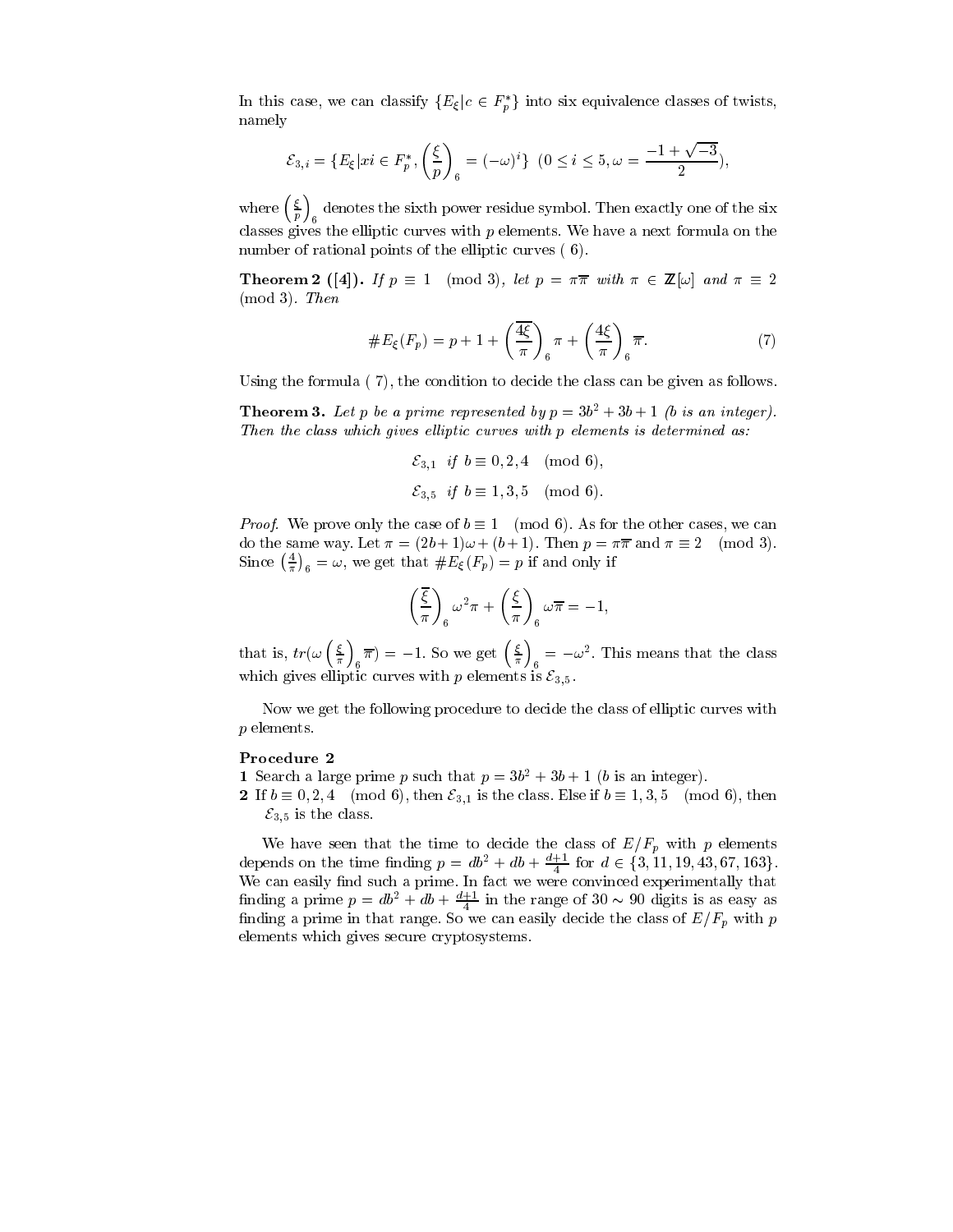In this case, we can classify  $\{E_{\xi}|c \in F_{p}^{*}\}\$  into six equivalence classes of twists, namely

$$
\mathcal{E}_{3,i} = \{ E_{\xi} | xi \in F_p^*, \left(\frac{\xi}{p}\right)_6 = (-\omega)^i \} \ (0 \le i \le 5, \omega = \frac{-1 + \sqrt{-3}}{2}),
$$

where  $\left(\frac{\xi}{p}\right)_{6}$  denotes the sixth power residue symbol. Then exactly one of the six classes gives the elliptic curves with  $p$  elements. We have a next formula on the number of rational points of the elliptic curves (6).

**Theorem 2** ([4]). If  $p \equiv 1 \pmod{3}$ , let  $p = \pi \overline{\pi}$  with  $\pi \in \mathbb{Z}[\omega]$  and  $\pi \equiv 2$  $(mod 3)$ . Then

$$
\#E_{\xi}(F_p) = p + 1 + \left(\frac{4\xi}{\pi}\right)_{6} \pi + \left(\frac{4\xi}{\pi}\right)_{6} \overline{\pi}.
$$
 (7)

Using the formula  $(7)$ , the condition to decide the class can be given as follows.

**Theorem 3.** Let p be a prime represented by  $p = 3b^2 + 3b + 1$  (b is an integer). Then the class which gives elliptic curves with p elements is determined as:

> $\mathcal{E}_{3,1}$  if  $b \equiv 0,2,4 \pmod{6}$ ,  $\mathcal{E}_{3.5}$  if  $b \equiv 1,3,5 \pmod{6}$ .

*Proof.* We prove only the case of  $b \equiv 1 \pmod{6}$ . As for the other cases, we can do the same way. Let  $\pi = (2b+1)\omega + (b+1)$ . Then  $p = \pi \overline{\pi}$  and  $\pi \equiv 2 \pmod{3}$ . Since  $\left(\frac{4}{\pi}\right)_6 = \omega$ , we get that  $\#E_{\xi}(F_p) = p$  if and only if

$$
\left(\frac{\overline{\xi}}{\pi}\right)_{6}\omega^{2}\pi+\left(\frac{\xi}{\pi}\right)_{6}\omega\overline{\pi}=-1,
$$

that is,  $tr(\omega \left(\frac{\xi}{\pi}\right)_6 \overline{\pi}) = -1$ . So we get  $\left(\frac{\xi}{\pi}\right)_6 = -\omega^2$ . This means that the class which gives elliptic curves with p elements is  $\mathcal{E}_{3,5}$ .

Now we get the following procedure to decide the class of elliptic curves with  $p$  elements.

### Procedure 2

- 1 Search a large prime p such that  $p = 3b^2 + 3b + 1$  (b is an integer).
- 2 If  $b \equiv 0, 2, 4 \pmod{6}$ , then  $\mathcal{E}_{3,1}$  is the class. Else if  $b \equiv 1, 3, 5 \pmod{6}$ , then  $\mathcal{E}_{3,5}$  is the class.

We have seen that the time to decide the class of  $E/F_p$  with p elements depends on the time finding  $p = db^2 + db + \frac{d+1}{4}$  for  $d \in \{3, 11, 19, 43, 67, 163\}$ . We can easily find such a prime. In fact we were convinced experimentally that finding a prime  $p = db^2 + db + \frac{d+1}{4}$  in the range of 30 ~ 90 digits is as easy as finding a prime in that range. So we can easily decide the class of  $E/F_p$  with p elements which gives secure cryptosystems.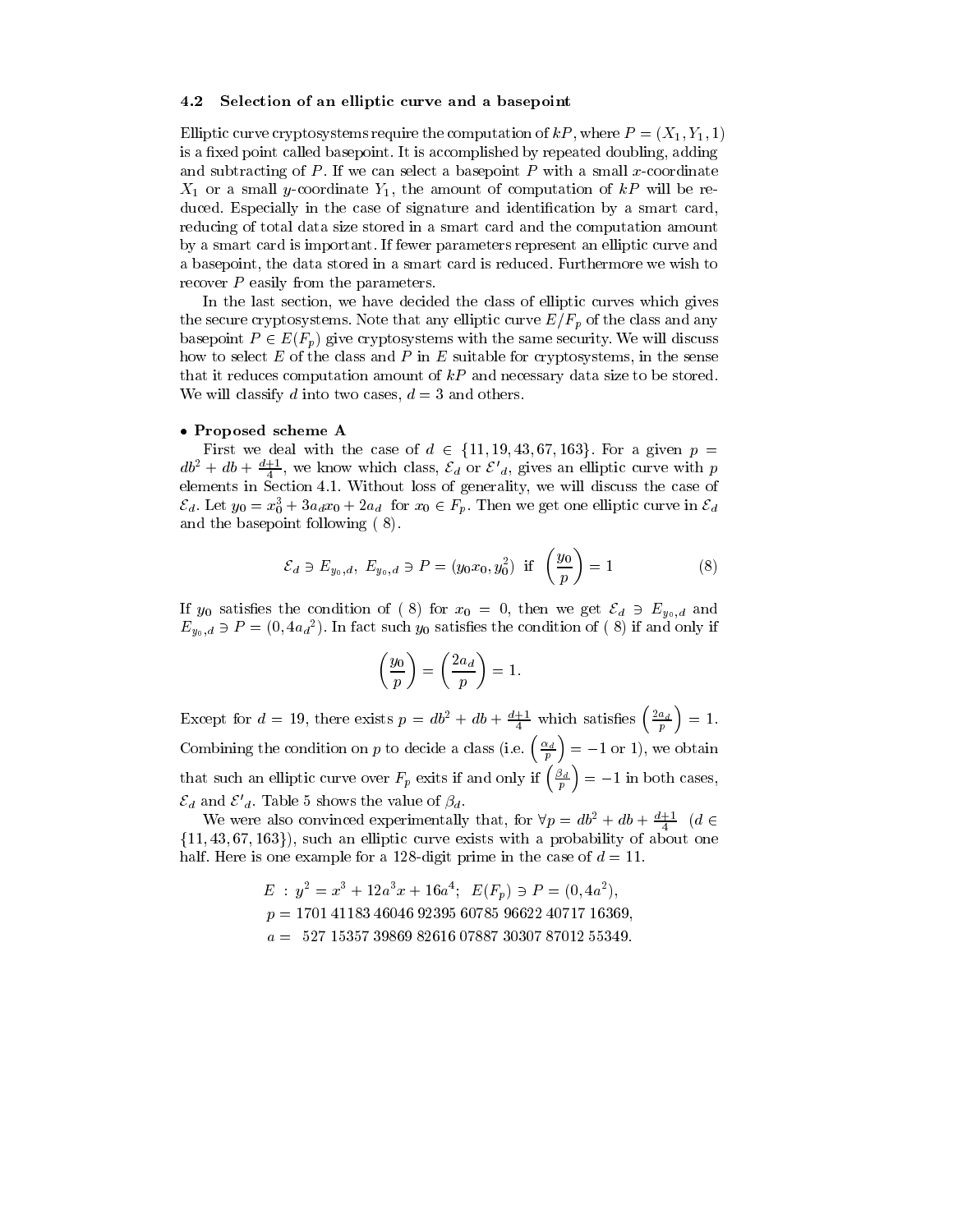#### Selection of an elliptic curve and a basepoint 4.2

Elliptic curve cryptosystems require the computation of  $kP$ , where  $P = (X_1, Y_1, 1)$ is a fixed point called basepoint. It is accomplished by repeated doubling, adding and subtracting of  $P$ . If we can select a basepoint  $P$  with a small x-coordinate  $X_1$  or a small y-coordinate  $Y_1$ , the amount of computation of kP will be reduced. Especially in the case of signature and identification by a smart card, reducing of total data size stored in a smart card and the computation amount by a smart card is important. If fewer parameters represent an elliptic curve and a basepoint, the data stored in a smart card is reduced. Furthermore we wish to recover  $P$  easily from the parameters.

In the last section, we have decided the class of elliptic curves which gives the secure cryptosystems. Note that any elliptic curve  $E/F_p$  of the class and any basepoint  $P \in E(F_p)$  give cryptosystems with the same security. We will discuss how to select  $E$  of the class and  $P$  in  $E$  suitable for cryptosystems, in the sense that it reduces computation amount of  $kP$  and necessary data size to be stored. We will classify d into two cases,  $d = 3$  and others.

### • Proposed scheme A

First we deal with the case of  $d \in \{11, 19, 43, 67, 163\}$ . For a given  $p =$  $db^2 + db + \frac{d+1}{4}$ , we know which class,  $\mathcal{E}_d$  or  $\mathcal{E'}_d$ , gives an elliptic curve with p elements in Section 4.1. Without loss of generality, we will discuss the case of  $\mathcal{E}_d$ . Let  $y_0 = x_0^3 + 3a_d x_0 + 2a_d$  for  $x_0 \in F_p$ . Then we get one elliptic curve in  $\mathcal{E}_d$ and the basepoint following (8).

$$
\mathcal{E}_d \ni E_{y_0,d}, \ E_{y_0,d} \ni P = (y_0 x_0, y_0^2) \text{ if } \left(\frac{y_0}{p}\right) = 1 \tag{8}
$$

If  $y_0$  satisfies the condition of (8) for  $x_0 = 0$ , then we get  $\mathcal{E}_d \ni E_{y_0,d}$  and  $E_{y_0,d} \ni P = (0, 4a_d^2)$ . In fact such  $y_0$  satisfies the condition of (8) if and only if

$$
\left(\frac{y_0}{p}\right) = \left(\frac{2a_d}{p}\right) = 1
$$

Except for  $d = 19$ , there exists  $p = db^2 + db + \frac{d+1}{4}$  which satisfies  $\left(\frac{2a_d}{p}\right) = 1$ . Combining the condition on p to decide a class (i.e.  $\left(\frac{\alpha_d}{p}\right) = -1$  or 1), we obtain that such an elliptic curve over  $F_p$  exits if and only if  $\left(\frac{\beta_d}{p}\right) = -1$  in both cases,  $\mathcal{E}_d$  and  $\mathcal{E'}_d$ . Table 5 shows the value of  $\beta_d$ .

We were also convinced experimentally that, for  $\forall p = db^2 + db + \frac{d+1}{4}$  (d  $\in$  $\{11, 43, 67, 163\}$ , such an elliptic curve exists with a probability of about one half. Here is one example for a 128-digit prime in the case of  $d = 11$ .

> $E: y^2 = x^3 + 12a^3x + 16a^4; \ E(F_p) \ni P = (0, 4a^2),$  $p = 1701\ 41183\ 46046\ 92395\ 60785\ 96622\ 40717\ 16369,$  $a = 527 15357 39869 82616 07887 30307 87012 55349.$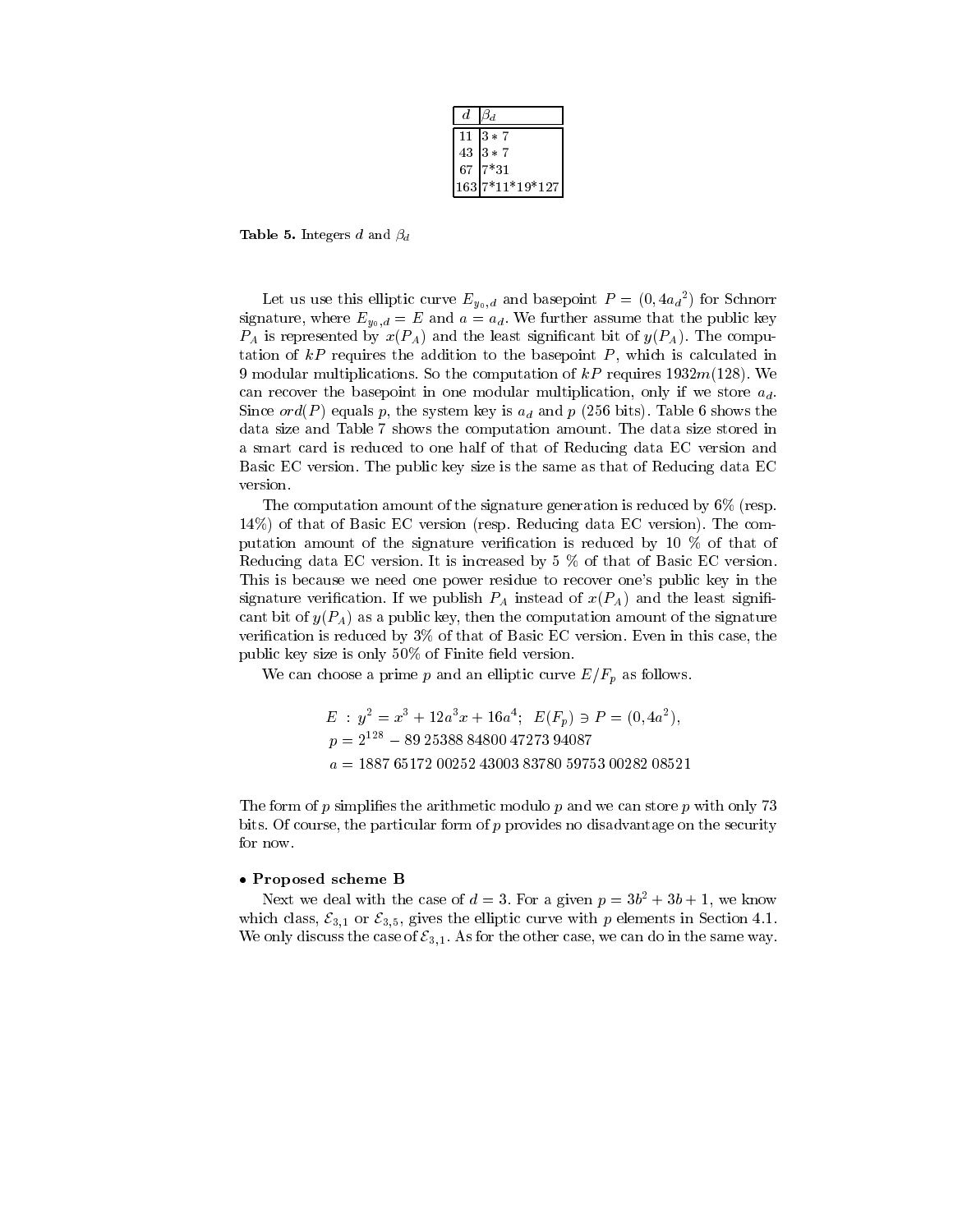| d.     | $\beta_d$       |
|--------|-----------------|
| 11     | $13 * 7$        |
| $43\,$ | $3 * 7$         |
| 67     | $7*31$          |
|        | 163 7*11*19*127 |

**Table 5.** Integers d and  $\beta_d$ 

Let us use this elliptic curve  $E_{y_0,d}$  and basepoint  $P=(0, 4a_d^2)$  for Schnorr signature, where  $E_{y_0,d} = E$  and  $a = a_d$ . We further assume that the public key  $P_A$  is represented by  $x(P_A)$  and the least significant bit of  $y(P_A)$ . The computation of  $kP$  requires the addition to the basepoint  $P$ , which is calculated in 9 modular multiplications. So the computation of  $kP$  requires 1932 $m(128)$ . We can recover the basepoint in one modular multiplication, only if we store  $a_d$ . Since  $ord(P)$  equals p, the system key is  $a_d$  and p (256 bits). Table 6 shows the data size and Table 7 shows the computation amount. The data size stored in a smart card is reduced to one half of that of Reducing data EC version and Basic EC version. The public key size is the same as that of Reducing data EC version.

The computation amount of the signature generation is reduced by  $6\%$  (resp.  $14\%$ ) of that of Basic EC version (resp. Reducing data EC version). The computation amount of the signature verification is reduced by 10  $\%$  of that of Reducing data EC version. It is increased by 5 % of that of Basic EC version. This is because we need one power residue to recover one's public key in the signature verification. If we publish  $P_A$  instead of  $x(P_A)$  and the least significant bit of  $y(P_A)$  as a public key, then the computation amount of the signature verification is reduced by 3% of that of Basic EC version. Even in this case, the public key size is only 50% of Finite field version.

We can choose a prime p and an elliptic curve  $E/F_p$  as follows.

$$
E: y^2 = x^3 + 12a^3x + 16a^4; \ E(F_p) \ni P = (0, 4a^2),
$$
  
\n
$$
p = 2^{128} - 89 25388 84800 47273 94087
$$
  
\n
$$
a = 1887 65172 00252 43003 83780 59753 00282 08521
$$

The form of p simplifies the arithmetic modulo p and we can store p with only 73 bits. Of course, the particular form of p provides no disadvantage on the security for now.

### • Proposed scheme B

Next we deal with the case of  $d = 3$ . For a given  $p = 3b^2 + 3b + 1$ , we know which class,  $\mathcal{E}_{3,1}$  or  $\mathcal{E}_{3,5}$ , gives the elliptic curve with p elements in Section 4.1. We only discuss the case of  $\mathcal{E}_{3,1}$ . As for the other case, we can do in the same way.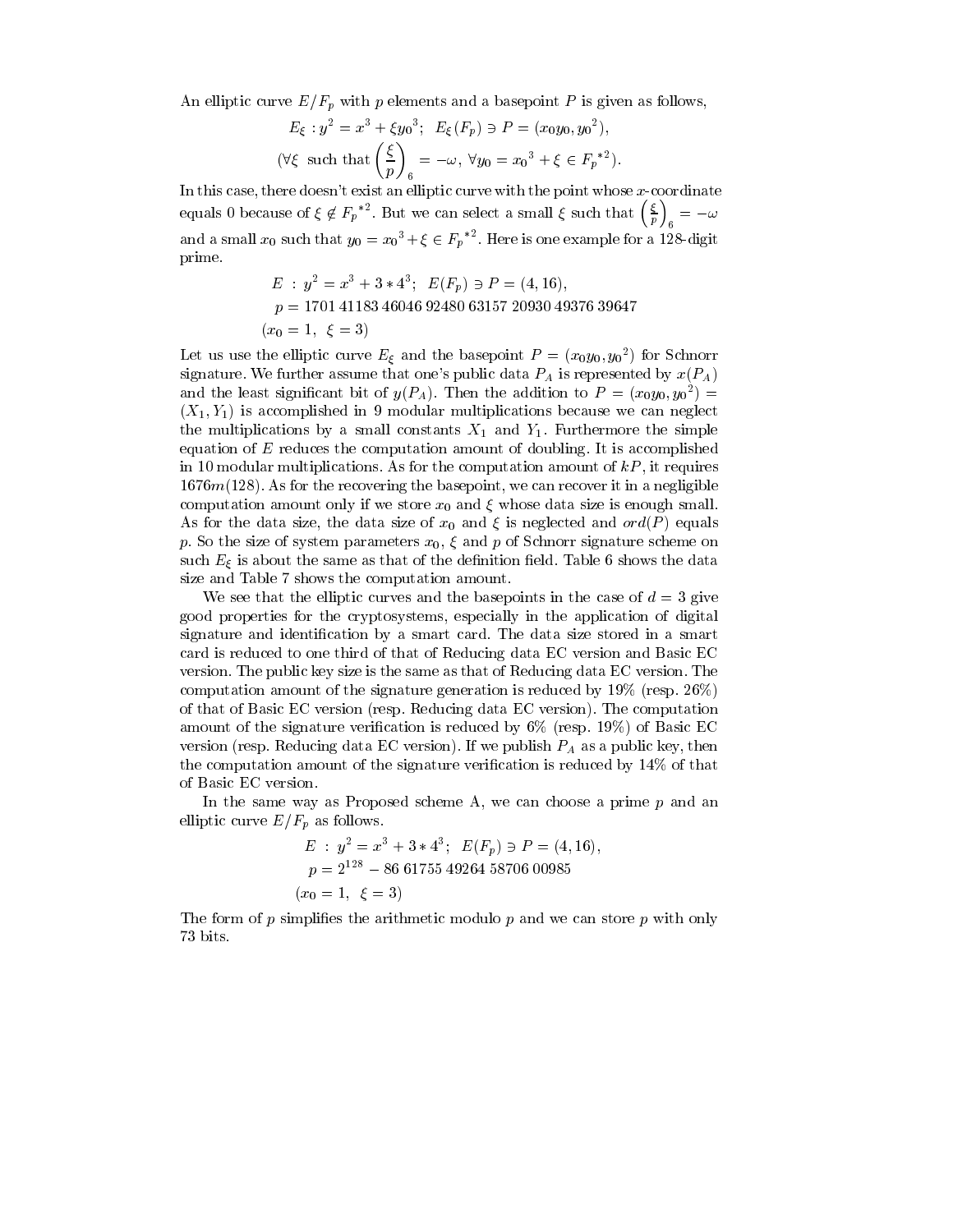An elliptic curve  $E/F_p$  with p elements and a basepoint P is given as follows,

$$
E_{\xi}: y^2 = x^3 + \xi y_0^3; \ E_{\xi}(F_p) \ni P = (x_0 y_0, y_0^2),
$$
  

$$
(\forall \xi \text{ such that } \left(\frac{\xi}{p}\right)_6 = -\omega, \ \forall y_0 = x_0^3 + \xi \in F_p^{*2})
$$

In this case, there doesn't exist an elliptic curve with the point whose  $x$ -coordinate equals 0 because of  $\xi \notin F_p^{*2}$ . But we can select a small  $\xi$  such that  $\left(\frac{\xi}{n}\right)_s = -\omega$ and a small  $x_0$  such that  $y_0 = x_0^3 + \xi \in F_p^{*2}$ . Here is one example for a 128-digit prime.

$$
E: y2 = x3 + 3 * 43; E(Fp) \ni P = (4, 16),
$$
  
p = 1701 41183 46046 92480 63157 20930 49376 39647  
 $x_0 = 1, \xi = 3$ )

 $\overline{ }$ 

Let us use the elliptic curve  $E_{\xi}$  and the basepoint  $P = (x_0y_0, y_0^2)$  for Schnorr signature. We further assume that one's public data  $P_A$  is represented by  $x(P_A)$ and the least significant bit of  $y(P_A)$ . Then the addition to  $P = (x_0y_0, y_0^2)$  $(X_1, Y_1)$  is accomplished in 9 modular multiplications because we can neglect the multiplications by a small constants  $X_1$  and  $Y_1$ . Furthermore the simple equation of  $E$  reduces the computation amount of doubling. It is accomplished in 10 modular multiplications. As for the computation amount of  $kP$ , it requires  $1676m(128)$ . As for the recovering the basepoint, we can recover it in a negligible computation amount only if we store  $x_0$  and  $\xi$  whose data size is enough small. As for the data size, the data size of  $x_0$  and  $\xi$  is neglected and  $ord(P)$  equals p. So the size of system parameters  $x_0$ ,  $\xi$  and p of Schnorr signature scheme on such  $E_\xi$  is about the same as that of the definition field. Table 6 shows the data size and Table 7 shows the computation amount.

We see that the elliptic curves and the basepoints in the case of  $d = 3$  give good properties for the cryptosystems, especially in the application of digital signature and identification by a smart card. The data size stored in a smart card is reduced to one third of that of Reducing data EC version and Basic EC version. The public key size is the same as that of Reducing data EC version. The computation amount of the signature generation is reduced by 19% (resp.  $26\%$ ) of that of Basic EC version (resp. Reducing data EC version). The computation amount of the signature verification is reduced by  $6\%$  (resp. 19%) of Basic EC version (resp. Reducing data EC version). If we publish  $P_A$  as a public key, then the computation amount of the signature verification is reduced by  $14\%$  of that of Basic EC version.

In the same way as Proposed scheme A, we can choose a prime  $p$  and an elliptic curve  $E/F_p$  as follows.

$$
E: y^2 = x^3 + 3 * 4^3; \ E(F_p) \ni P = (4, 16),
$$
  
\n
$$
p = 2^{128} - 86 \ 61755 \ 49264 \ 58706 \ 00985
$$
  
\n
$$
(x_0 = 1, \ \xi = 3)
$$

The form of p simplifies the arithmetic modulo p and we can store p with only 73 bits.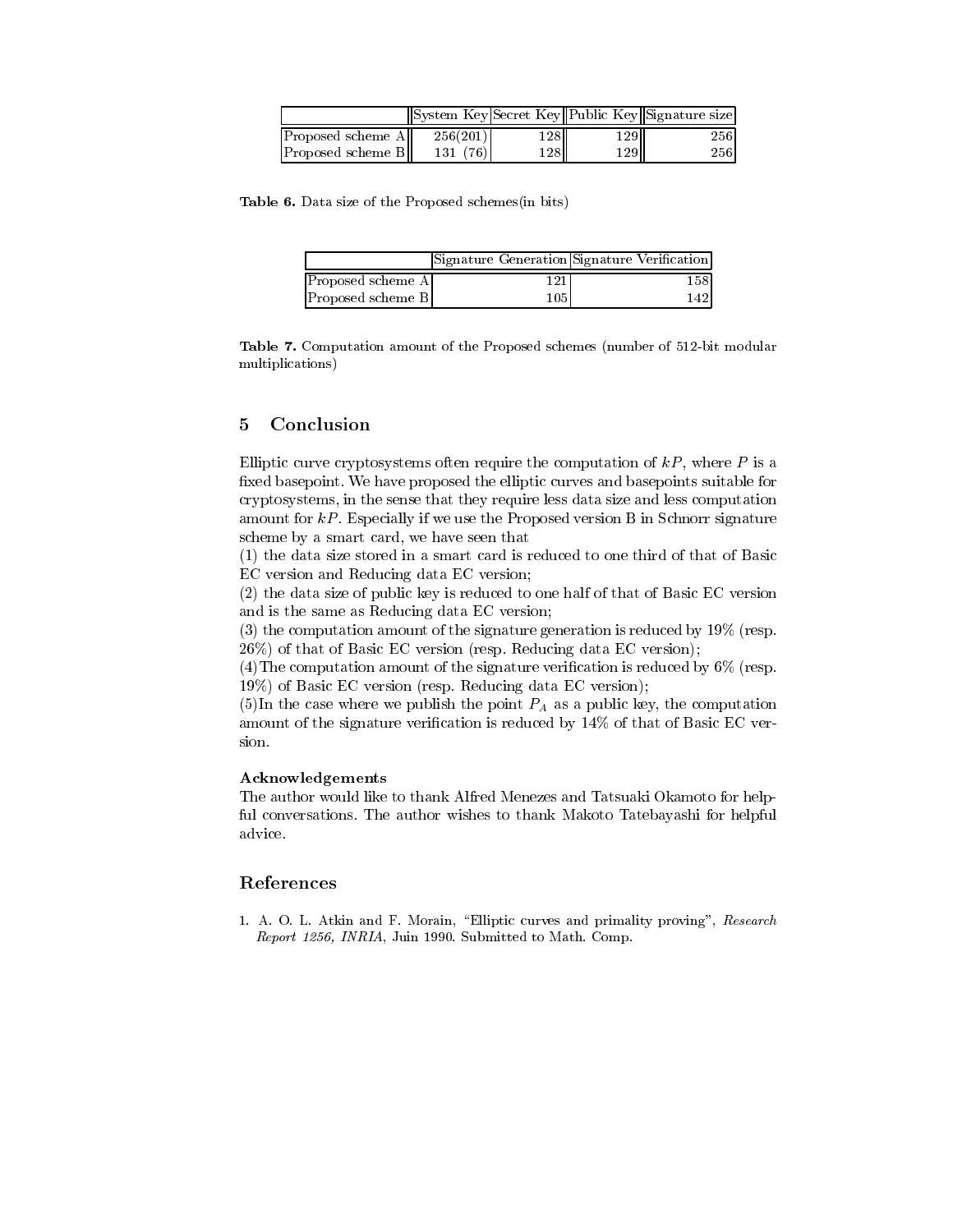|                            | System Key Secret Key Public Key Signature size |     |       |     |
|----------------------------|-------------------------------------------------|-----|-------|-----|
| <b>Proposed scheme All</b> | 256(201)                                        | 128 | 129II | 256 |
| <b>Proposed scheme BII</b> | 131 (76)                                        | 128 | 129   | 256 |

Table 6. Data size of the Proposed schemes(in bits)

|                   |     | Signature Generation Signature Verification |
|-------------------|-----|---------------------------------------------|
| Proposed scheme A |     | 1581                                        |
| Proposed scheme B | 105 | 1421                                        |

Table 7. Computation amount of the Proposed schemes (number of 512-bit modular multiplications)

#### 5 Conclusion

Elliptic curve cryptosystems often require the computation of  $kP$ , where P is a fixed basepoint. We have proposed the elliptic curves and basepoints suitable for cryptosystems, in the sense that they require less data size and less computation amount for  $kP$ . Especially if we use the Proposed version B in Schnorr signature scheme by a smart card, we have seen that

(1) the data size stored in a smart card is reduced to one third of that of Basic EC version and Reducing data EC version;

(2) the data size of public key is reduced to one half of that of Basic EC version and is the same as Reducing data EC version;

 $(3)$  the computation amount of the signature generation is reduced by 19% (resp. 26%) of that of Basic EC version (resp. Reducing data EC version);

(4) The computation amount of the signature verification is reduced by  $6\%$  (resp. 19%) of Basic EC version (resp. Reducing data EC version);

(5)In the case where we publish the point  $P_A$  as a public key, the computation amount of the signature verification is reduced by 14% of that of Basic EC version.

### Acknowledgements

The author would like to thank Alfred Menezes and Tatsuaki Okamoto for helpful conversations. The author wishes to thank Makoto Tatebayashi for helpful advice.

### References

1. A. O. L. Atkin and F. Morain, "Elliptic curves and primality proving", Research Report 1256, INRIA, Juin 1990. Submitted to Math. Comp.